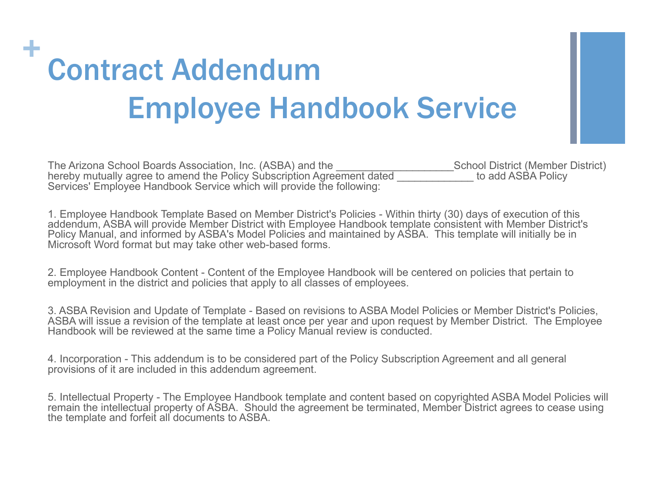## + Contract Addendum Employee Handbook Service

| The Arizona School Boards Association, Inc. (ASBA) and the             | <b>School District (Member District)</b> |
|------------------------------------------------------------------------|------------------------------------------|
| hereby mutually agree to amend the Policy Subscription Agreement dated | to add ASBA Policy                       |
| Services' Employee Handbook Service which will provide the following:  |                                          |

1. Employee Handbook Template Based on Member District's Policies - Within thirty (30) days of execution of this addendum, ASBA will provide Member District with Employee Handbook template consistent with Member District's Policy Manual, and informed by ASBA's Model Policies and maintained by ASBA. This template will initially be in Microsoft Word format but may take other web-based forms.

2. Employee Handbook Content - Content of the Employee Handbook will be centered on policies that pertain to employment in the district and policies that apply to all classes of employees.

3. ASBA Revision and Update of Template - Based on revisions to ASBA Model Policies or Member District's Policies, ASBA will issue a revision of the template at least once per year and upon request by Member District. The Employee Handbook will be reviewed at the same time a Policy Manual review is conducted.

4. Incorporation - This addendum is to be considered part of the Policy Subscription Agreement and all general provisions of it are included in this addendum agreement.

5. Intellectual Property - The Employee Handbook template and content based on copyrighted ASBA Model Policies will remain the intellectual property of ASBA. Should the agreement be terminated, Member District agrees to cease using the template and forfeit all documents to ASBA.